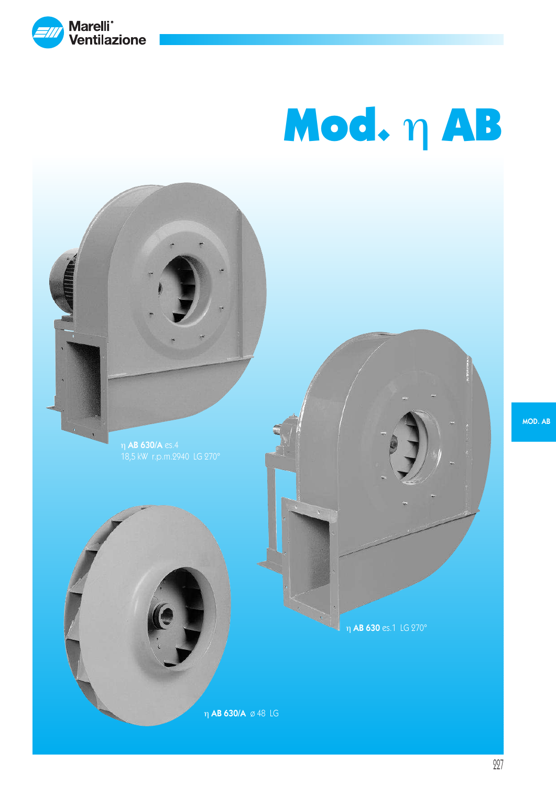

η AB 630 es.1 LG 270° η AB 630/A ø 48 LG η AB 630/A es.4 18,5 kW r.p.m.2940 LG 270°

MOD. AB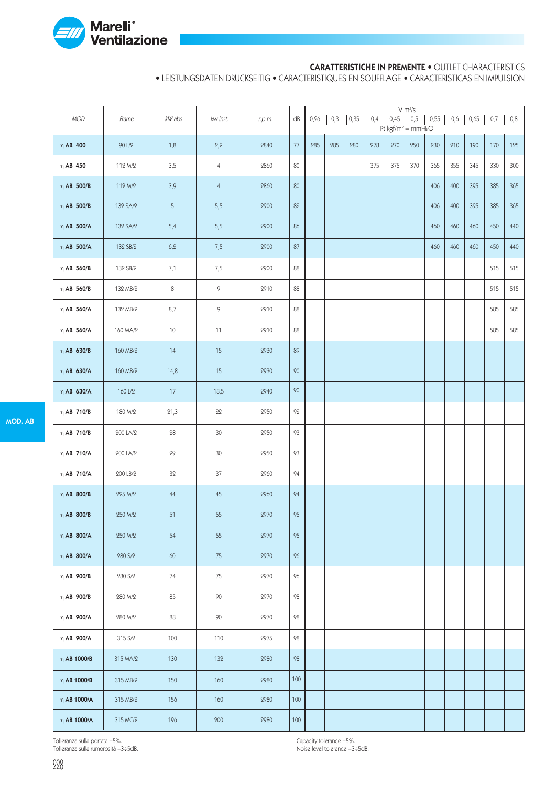

#### CARATTERISTICHE IN PREMENTE • OUTLET CHARACTERISTICS

• LEISTUNGSDATEN DRUCKSEITIG • CARACTERISTIQUES EN SOUFFLAGE • CARACTERISTICAS EN IMPULSION

| MOD.             | Frame    | kW abs     | kw inst.       | r.p.m. | dB     | 0,26 | 0,3 | 0,35 |     | $0,4$ 0,45 | V m <sup>3</sup> /s<br>0,5<br>Pt kgf/m <sup>2</sup> = mmH <sub>2</sub> O | 0,55 | 0,6 |     | $0,65$ 0,7 | $0,8$ |
|------------------|----------|------------|----------------|--------|--------|------|-----|------|-----|------------|--------------------------------------------------------------------------|------|-----|-----|------------|-------|
| $\eta$ AB 400    | 90 L/2   | 1,8        | 2,2            | 2840   | 77     | 285  | 285 | 280  | 278 | 270        | 250                                                                      | 230  | 210 | 190 | 170        | 125   |
| $\eta$ AB 450    | 112 M/2  | 3,5        | $\overline{4}$ | 2860   | 80     |      |     |      | 375 | 375        | 370                                                                      | 365  | 355 | 345 | 330        | 300   |
| $\eta$ AB 500/B  | 112 M/2  | 3,9        | $\overline{4}$ | 2860   | 80     |      |     |      |     |            |                                                                          | 406  | 400 | 395 | 385        | 365   |
| $\eta$ AB 500/B  | 132 SA/2 | 5          | 5,5            | 2900   | 82     |      |     |      |     |            |                                                                          | 406  | 400 | 395 | 385        | 365   |
| $\eta$ AB 500/A  | 132 SA/2 | 5,4        | 5,5            | 2900   | 86     |      |     |      |     |            |                                                                          | 460  | 460 | 460 | 450        | 440   |
| $\eta$ AB 500/A  | 132 SB/2 | 6,2        | 7,5            | 2900   | 87     |      |     |      |     |            |                                                                          | 460  | 460 | 460 | 450        | 440   |
| $\eta$ AB 560/B  | 132 SB/2 | 7,1        | 7,5            | 2900   | 88     |      |     |      |     |            |                                                                          |      |     |     | 515        | 515   |
| $\eta$ AB 560/B  | 132 MB/2 | $\,8\,$    | $\,9$          | 2910   | 88     |      |     |      |     |            |                                                                          |      |     |     | 515        | 515   |
| $\eta$ AB 560/A  | 132 MB/2 | 8,7        | 9              | 2910   | 88     |      |     |      |     |            |                                                                          |      |     |     | 585        | 585   |
| $\eta$ AB 560/A  | 160 MA/2 | 10         | 11             | 2910   | 88     |      |     |      |     |            |                                                                          |      |     |     | 585        | 585   |
| $\eta$ AB 630/B  | 160 MB/2 | 14         | 15             | 2930   | 89     |      |     |      |     |            |                                                                          |      |     |     |            |       |
| $\eta$ AB 630/A  | 160 MB/2 | 14,8       | 15             | 2930   | 90     |      |     |      |     |            |                                                                          |      |     |     |            |       |
| $\eta$ AB 630/A  | 160 L/2  | 17         | 18,5           | 2940   | $90\,$ |      |     |      |     |            |                                                                          |      |     |     |            |       |
| $\eta$ AB 710/B  | 180 M/2  | 21,3       | 22             | 2950   | 92     |      |     |      |     |            |                                                                          |      |     |     |            |       |
| $\eta$ AB 710/B  | 200 LA/2 | ${\bf 28}$ | $30\,$         | 2950   | 93     |      |     |      |     |            |                                                                          |      |     |     |            |       |
| $\eta$ AB 710/A  | 200 LA/2 | 29         | 30             | 2950   | 93     |      |     |      |     |            |                                                                          |      |     |     |            |       |
| $\eta$ AB 710/A  | 200 LB/2 | 32         | 37             | 2960   | 94     |      |     |      |     |            |                                                                          |      |     |     |            |       |
| $\eta$ AB 800/B  | 225 M/2  | 44         | $45\,$         | 2960   | 94     |      |     |      |     |            |                                                                          |      |     |     |            |       |
| $\eta$ AB 800/B  | 250 M/2  | 51         | 55             | 2970   | 95     |      |     |      |     |            |                                                                          |      |     |     |            |       |
| $\eta$ AB 800/A  | 250 M/2  | 54         | 55             | 2970   | 95     |      |     |      |     |            |                                                                          |      |     |     |            |       |
| $\eta$ AB 800/A  | 280 S/2  | 60         | $75\,$         | 2970   | 96     |      |     |      |     |            |                                                                          |      |     |     |            |       |
| $\eta$ AB 900/B  | 280 S/2  | 74         | 75             | 2970   | 96     |      |     |      |     |            |                                                                          |      |     |     |            |       |
| $\eta$ AB 900/B  | 280 M/2  | 85         | 90             | 2970   | 98     |      |     |      |     |            |                                                                          |      |     |     |            |       |
| $\eta$ AB 900/A  | 280 M/2  | 88         | 90             | 2970   | 98     |      |     |      |     |            |                                                                          |      |     |     |            |       |
| $\eta$ AB 900/A  | 315 S/2  | 100        | 110            | 2975   | 98     |      |     |      |     |            |                                                                          |      |     |     |            |       |
| $\eta$ AB 1000/B | 315 MA/2 | 130        | 132            | 2980   | 98     |      |     |      |     |            |                                                                          |      |     |     |            |       |
| $\eta$ AB 1000/B | 315 MB/2 | 150        | 160            | 2980   | 100    |      |     |      |     |            |                                                                          |      |     |     |            |       |
| $\eta$ AB 1000/A | 315 MB/2 | 156        | 160            | 2980   | 100    |      |     |      |     |            |                                                                          |      |     |     |            |       |
| $\eta$ AB 1000/A | 315 MC/2 | 196        | $200\,$        | 2980   | 100    |      |     |      |     |            |                                                                          |      |     |     |            |       |

Tolleranza sulla portata ±5%.

Tolleranza sulla rumorosità +3÷5dB.

Capacity tolerance ±5%. Noise level tolerance +3÷5dB.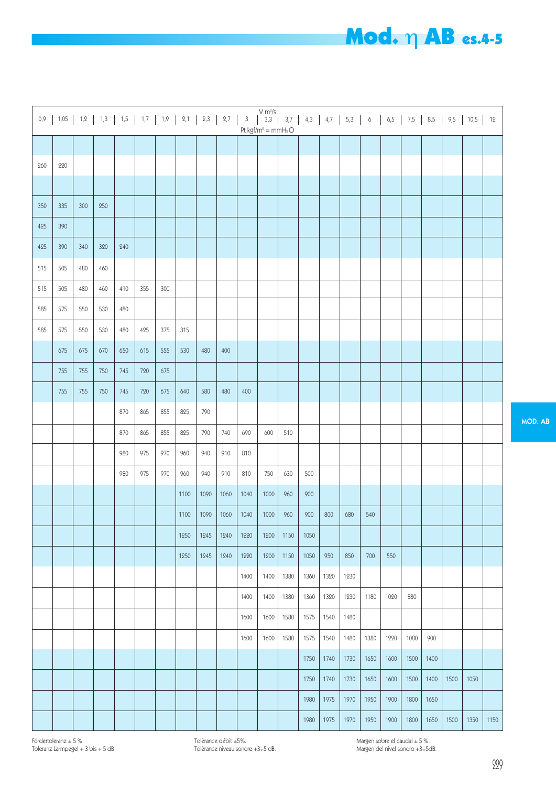# Mod. η AB es.4-5

| 0,9 |     |     |     |     | $1,05$   $1,2$   $1,3$   $1,5$   $1,7$   $1,9$   $2,1$   $2,3$   $2,7$ |     |      |      |      | $\sqrt{3}$ | Pt kgf/m <sup>2</sup> = mmH2O |      |      |      |      |      |      |      |      |      |      | 12   |
|-----|-----|-----|-----|-----|------------------------------------------------------------------------|-----|------|------|------|------------|-------------------------------|------|------|------|------|------|------|------|------|------|------|------|
|     |     |     |     |     |                                                                        |     |      |      |      |            |                               |      |      |      |      |      |      |      |      |      |      |      |
| 260 | 220 |     |     |     |                                                                        |     |      |      |      |            |                               |      |      |      |      |      |      |      |      |      |      |      |
|     |     |     |     |     |                                                                        |     |      |      |      |            |                               |      |      |      |      |      |      |      |      |      |      |      |
| 350 | 335 | 300 | 250 |     |                                                                        |     |      |      |      |            |                               |      |      |      |      |      |      |      |      |      |      |      |
| 425 | 390 |     |     |     |                                                                        |     |      |      |      |            |                               |      |      |      |      |      |      |      |      |      |      |      |
| 425 | 390 | 340 | 320 | 240 |                                                                        |     |      |      |      |            |                               |      |      |      |      |      |      |      |      |      |      |      |
| 515 | 505 | 480 | 460 |     |                                                                        |     |      |      |      |            |                               |      |      |      |      |      |      |      |      |      |      |      |
| 515 | 505 | 480 | 460 | 410 | 355                                                                    | 300 |      |      |      |            |                               |      |      |      |      |      |      |      |      |      |      |      |
| 585 | 575 | 550 | 530 | 480 |                                                                        |     |      |      |      |            |                               |      |      |      |      |      |      |      |      |      |      |      |
| 585 | 575 | 550 | 530 | 480 | 425                                                                    | 375 | 315  |      |      |            |                               |      |      |      |      |      |      |      |      |      |      |      |
|     | 675 | 675 | 670 | 650 | 615                                                                    | 555 | 530  | 480  | 400  |            |                               |      |      |      |      |      |      |      |      |      |      |      |
|     | 755 | 755 | 750 | 745 | 720                                                                    | 675 |      |      |      |            |                               |      |      |      |      |      |      |      |      |      |      |      |
|     | 755 | 755 | 750 | 745 | 720                                                                    | 675 | 640  | 580  | 480  | 400        |                               |      |      |      |      |      |      |      |      |      |      |      |
|     |     |     |     | 870 | 865                                                                    | 855 | 825  | 790  |      |            |                               |      |      |      |      |      |      |      |      |      |      |      |
|     |     |     |     | 870 | 865                                                                    | 855 | 825  | 790  | 740  | 690        | 600                           | 510  |      |      |      |      |      |      |      |      |      |      |
|     |     |     |     | 980 | 975                                                                    | 970 | 960  | 940  | 910  | 810        |                               |      |      |      |      |      |      |      |      |      |      |      |
|     |     |     |     | 980 | 975                                                                    | 970 | 960  | 940  | 910  | 810        | 750                           | 630  | 500  |      |      |      |      |      |      |      |      |      |
|     |     |     |     |     |                                                                        |     | 1100 | 1090 | 1060 | 1040       | 1000                          | 960  | 900  |      |      |      |      |      |      |      |      |      |
|     |     |     |     |     |                                                                        |     | 1100 | 1090 | 1060 | 1040       | 1000                          | 960  | 900  | 800  | 680  | 540  |      |      |      |      |      |      |
|     |     |     |     |     |                                                                        |     | 1250 | 1245 | 1240 | 1220       | 1200                          | 1150 | 1050 |      |      |      |      |      |      |      |      |      |
|     |     |     |     |     |                                                                        |     | 1250 | 1245 | 1240 | 1220       | 1200                          | 1150 | 1050 | 950  | 850  | 700  | 550  |      |      |      |      |      |
|     |     |     |     |     |                                                                        |     |      |      |      | 1400       | 1400                          | 1380 | 1360 | 1320 | 1230 |      |      |      |      |      |      |      |
|     |     |     |     |     |                                                                        |     |      |      |      | 1400       | 1400                          | 1380 | 1360 | 1320 | 1230 | 1180 | 1020 | 880  |      |      |      |      |
|     |     |     |     |     |                                                                        |     |      |      |      | 1600       | 1600                          | 1580 | 1575 | 1540 | 1480 |      |      |      |      |      |      |      |
|     |     |     |     |     |                                                                        |     |      |      |      | 1600       | 1600                          | 1580 | 1575 | 1540 | 1480 | 1380 | 1220 | 1080 | 900  |      |      |      |
|     |     |     |     |     |                                                                        |     |      |      |      |            |                               |      | 1750 | 1740 | 1730 | 1650 | 1600 | 1500 | 1400 |      |      |      |
|     |     |     |     |     |                                                                        |     |      |      |      |            |                               |      | 1750 | 1740 | 1730 | 1650 | 1600 | 1500 | 1400 | 1500 | 1050 |      |
|     |     |     |     |     |                                                                        |     |      |      |      |            |                               |      | 1980 | 1975 | 1970 | 1950 | 1900 | 1800 | 1650 |      |      |      |
|     |     |     |     |     |                                                                        |     |      |      |      |            |                               |      | 1980 | 1975 | 1970 | 1950 | 1900 | 1800 | 1650 | 1500 | 1350 | 1150 |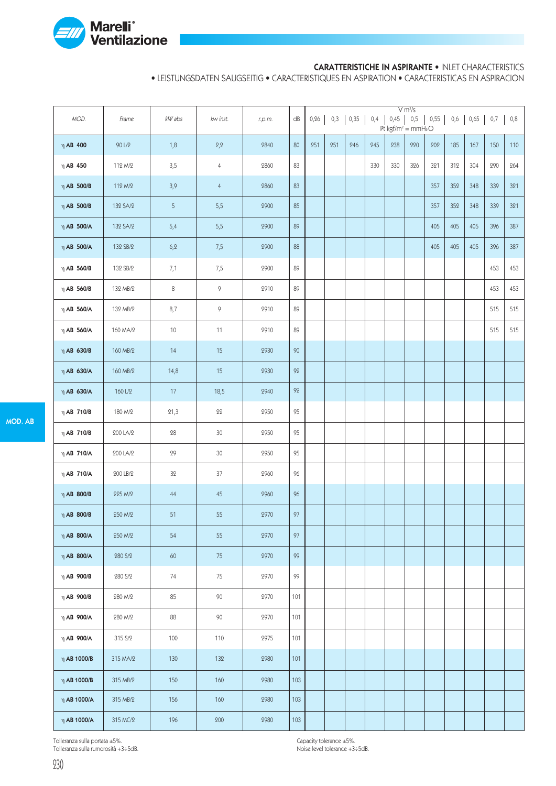

#### CARATTERISTICHE IN ASPIRANTE • INLET CHARACTERISTICS

• LEISTUNGSDATEN SAUGSEITIG • CARACTERISTIQUES EN ASPIRATION • CARACTERISTICAS EN ASPIRACION

| MOD.             | Frame    | kW abs | kw inst.       | r.p.m. | $\mathsf{dB}$ | 0,26 | 0,3 | 0,35 | 0,4 | 0,45<br>Pt kgf/m <sup>2</sup> = mmH <sub>2</sub> O | V m <sup>3</sup> /s<br>0,5 | 0,55 | 0,6 | 0,65 | 0,7 | 0,8 |
|------------------|----------|--------|----------------|--------|---------------|------|-----|------|-----|----------------------------------------------------|----------------------------|------|-----|------|-----|-----|
| $\eta$ AB 400    | 90 L/2   | 1,8    | 2,2            | 2840   | 80            | 251  | 251 | 246  | 245 | 238                                                | 220                        | 202  | 185 | 167  | 150 | 110 |
| $\eta$ AB 450    | 112 M/2  | 3,5    | $\overline{4}$ | 2860   | 83            |      |     |      | 330 | 330                                                | 326                        | 321  | 312 | 304  | 290 | 264 |
| $\eta$ AB 500/B  | 112 M/2  | 3,9    | $\overline{4}$ | 2860   | 83            |      |     |      |     |                                                    |                            | 357  | 352 | 348  | 339 | 321 |
| $\eta$ AB 500/B  | 132 SA/2 | 5      | 5,5            | 2900   | 85            |      |     |      |     |                                                    |                            | 357  | 352 | 348  | 339 | 321 |
| $\eta$ AB 500/A  | 132 SA/2 | 5,4    | 5,5            | 2900   | 89            |      |     |      |     |                                                    |                            | 405  | 405 | 405  | 396 | 387 |
| $\eta$ AB 500/A  | 132 SB/2 | 6, 2   | 7,5            | 2900   | 88            |      |     |      |     |                                                    |                            | 405  | 405 | 405  | 396 | 387 |
| $\eta$ AB 560/B  | 132 SB/2 | 7,1    | 7,5            | 2900   | 89            |      |     |      |     |                                                    |                            |      |     |      | 453 | 453 |
| $\eta$ AB 560/B  | 132 MB/2 | 8      | 9              | 2910   | 89            |      |     |      |     |                                                    |                            |      |     |      | 453 | 453 |
| $\eta$ AB 560/A  | 132 MB/2 | 8,7    | 9              | 2910   | 89            |      |     |      |     |                                                    |                            |      |     |      | 515 | 515 |
| $\eta$ AB 560/A  | 160 MA/2 | 10     | 11             | 2910   | 89            |      |     |      |     |                                                    |                            |      |     |      | 515 | 515 |
| η AB 630/B       | 160 MB/2 | 14     | 15             | 2930   | 90            |      |     |      |     |                                                    |                            |      |     |      |     |     |
| $\eta$ AB 630/A  | 160 MB/2 | 14,8   | 15             | 2930   | 92            |      |     |      |     |                                                    |                            |      |     |      |     |     |
| $\eta$ AB 630/A  | 160 L/2  | 17     | 18,5           | 2940   | 92            |      |     |      |     |                                                    |                            |      |     |      |     |     |
| $\eta$ AB 710/B  | 180 M/2  | 21,3   | $22\,$         | 2950   | 95            |      |     |      |     |                                                    |                            |      |     |      |     |     |
| $\eta$ AB 710/B  | 200 LA/2 | 28     | 30             | 2950   | 95            |      |     |      |     |                                                    |                            |      |     |      |     |     |
| $\eta$ AB 710/A  | 200 LA/2 | 29     | $30\,$         | 2950   | 95            |      |     |      |     |                                                    |                            |      |     |      |     |     |
| $\eta$ AB 710/A  | 200 LB/2 | 32     | 37             | 2960   | 96            |      |     |      |     |                                                    |                            |      |     |      |     |     |
| $\eta$ AB 800/B  | 225 M/2  | 44     | 45             | 2960   | 96            |      |     |      |     |                                                    |                            |      |     |      |     |     |
| $\eta$ AB 800/B  | 250 M/2  | 51     | 55             | 2970   | 97            |      |     |      |     |                                                    |                            |      |     |      |     |     |
| $\eta$ AB 800/A  | 250 M/2  | 54     | 55             | 2970   | 97            |      |     |      |     |                                                    |                            |      |     |      |     |     |
| $\eta$ AB 800/A  | 280 S/2  | 60     | 75             | 2970   | 99            |      |     |      |     |                                                    |                            |      |     |      |     |     |
| $\eta$ AB 900/B  | 280 S/2  | 74     | 75             | 2970   | 99            |      |     |      |     |                                                    |                            |      |     |      |     |     |
| $\eta$ AB 900/B  | 280 M/2  | 85     | 90             | 2970   | 101           |      |     |      |     |                                                    |                            |      |     |      |     |     |
| $\eta$ AB 900/A  | 280 M/2  | 88     | 90             | 2970   | 101           |      |     |      |     |                                                    |                            |      |     |      |     |     |
| $\eta$ AB 900/A  | 315 S/2  | 100    | 110            | 2975   | 101           |      |     |      |     |                                                    |                            |      |     |      |     |     |
| $\eta$ AB 1000/B | 315 MA/2 | 130    | 132            | 2980   | 101           |      |     |      |     |                                                    |                            |      |     |      |     |     |
| $\eta$ AB 1000/B | 315 MB/2 | 150    | 160            | 2980   | 103           |      |     |      |     |                                                    |                            |      |     |      |     |     |
| $η$ AB 1000/A    | 315 MB/2 | 156    | 160            | 2980   | 103           |      |     |      |     |                                                    |                            |      |     |      |     |     |
| η $AB$ 1000/A    | 315 MC/2 | 196    | $200\,$        | 2980   | $103$         |      |     |      |     |                                                    |                            |      |     |      |     |     |

Tolleranza sulla portata ±5%.

Tolleranza sulla rumorosità +3÷5dB.

Capacity tolerance ±5%. Noise level tolerance +3÷5dB.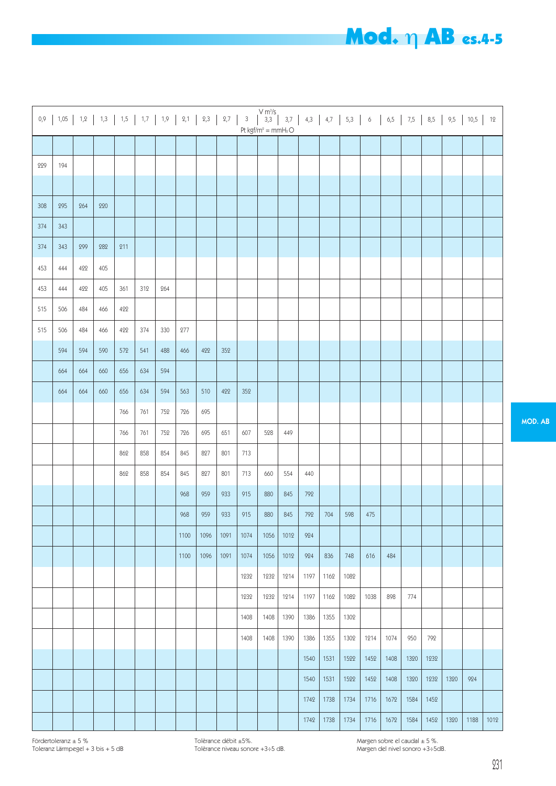# Mod. η AB es.4-5

|     | $0,9$   1,05   1,2   1,3   1,5   1,7   1,9   2,1   2,3   2,7   3 |     |     |     |     |     |      |      |      |      | $\begin{vmatrix} V m^{3}/s \\ 3,3 \end{vmatrix}$ |      |      |      |      |      |      |      |      |      | $3,7$   4,3   4,7   5,3   6   6,5   7,5   8,5   9,5   10,5 | 12   |
|-----|------------------------------------------------------------------|-----|-----|-----|-----|-----|------|------|------|------|--------------------------------------------------|------|------|------|------|------|------|------|------|------|------------------------------------------------------------|------|
|     |                                                                  |     |     |     |     |     |      |      |      |      | Pt kgf/m <sup>2</sup> = mmH2O                    |      |      |      |      |      |      |      |      |      |                                                            |      |
|     |                                                                  |     |     |     |     |     |      |      |      |      |                                                  |      |      |      |      |      |      |      |      |      |                                                            |      |
| 229 | 194                                                              |     |     |     |     |     |      |      |      |      |                                                  |      |      |      |      |      |      |      |      |      |                                                            |      |
|     |                                                                  |     |     |     |     |     |      |      |      |      |                                                  |      |      |      |      |      |      |      |      |      |                                                            |      |
| 308 | 295                                                              | 264 | 220 |     |     |     |      |      |      |      |                                                  |      |      |      |      |      |      |      |      |      |                                                            |      |
| 374 | 343                                                              |     |     |     |     |     |      |      |      |      |                                                  |      |      |      |      |      |      |      |      |      |                                                            |      |
| 374 | 343                                                              | 299 | 282 | 211 |     |     |      |      |      |      |                                                  |      |      |      |      |      |      |      |      |      |                                                            |      |
| 453 | 444                                                              | 422 | 405 |     |     |     |      |      |      |      |                                                  |      |      |      |      |      |      |      |      |      |                                                            |      |
| 453 | 444                                                              | 422 | 405 | 361 | 312 | 264 |      |      |      |      |                                                  |      |      |      |      |      |      |      |      |      |                                                            |      |
| 515 | 506                                                              | 484 | 466 | 422 |     |     |      |      |      |      |                                                  |      |      |      |      |      |      |      |      |      |                                                            |      |
| 515 | 506                                                              | 484 | 466 | 422 | 374 | 330 | 277  |      |      |      |                                                  |      |      |      |      |      |      |      |      |      |                                                            |      |
|     | 594                                                              | 594 | 590 | 572 | 541 | 488 | 466  | 422  | 352  |      |                                                  |      |      |      |      |      |      |      |      |      |                                                            |      |
|     | 664                                                              | 664 | 660 | 656 | 634 | 594 |      |      |      |      |                                                  |      |      |      |      |      |      |      |      |      |                                                            |      |
|     | 664                                                              | 664 | 660 | 656 | 634 | 594 | 563  | 510  | 422  | 352  |                                                  |      |      |      |      |      |      |      |      |      |                                                            |      |
|     |                                                                  |     |     | 766 | 761 | 752 | 726  | 695  |      |      |                                                  |      |      |      |      |      |      |      |      |      |                                                            |      |
|     |                                                                  |     |     | 766 | 761 | 752 | 726  | 695  | 651  | 607  | 528                                              | 449  |      |      |      |      |      |      |      |      |                                                            |      |
|     |                                                                  |     |     | 862 | 858 | 854 | 845  | 827  | 801  | 713  |                                                  |      |      |      |      |      |      |      |      |      |                                                            |      |
|     |                                                                  |     |     | 862 | 858 | 854 | 845  | 827  | 801  | 713  | 660                                              | 554  | 440  |      |      |      |      |      |      |      |                                                            |      |
|     |                                                                  |     |     |     |     |     | 968  | 959  | 933  | 915  | 880                                              | 845  | 792  |      |      |      |      |      |      |      |                                                            |      |
|     |                                                                  |     |     |     |     |     |      |      |      |      |                                                  |      |      |      |      |      |      |      |      |      |                                                            |      |
|     |                                                                  |     |     |     |     |     | 968  | 959  | 933  | 915  | 880                                              | 845  | 792  | 704  | 598  | 475  |      |      |      |      |                                                            |      |
|     |                                                                  |     |     |     |     |     | 1100 | 1096 | 1091 | 1074 | 1056                                             | 1012 | 924  |      |      |      |      |      |      |      |                                                            |      |
|     |                                                                  |     |     |     |     |     | 1100 | 1096 | 1091 | 1074 | 1056                                             | 1012 | 924  | 836  | 748  | 616  | 484  |      |      |      |                                                            |      |
|     |                                                                  |     |     |     |     |     |      |      |      | 1232 | 1232                                             | 1214 | 1197 | 1162 | 1082 |      |      |      |      |      |                                                            |      |
|     |                                                                  |     |     |     |     |     |      |      |      | 1232 | 1232                                             | 1214 | 1197 | 1162 | 1082 | 1038 | 898  | 774  |      |      |                                                            |      |
|     |                                                                  |     |     |     |     |     |      |      |      | 1408 | 1408                                             | 1390 | 1386 | 1355 | 1302 |      |      |      |      |      |                                                            |      |
|     |                                                                  |     |     |     |     |     |      |      |      | 1408 | 1408                                             | 1390 | 1386 | 1355 | 1302 | 1214 | 1074 | 950  | 792  |      |                                                            |      |
|     |                                                                  |     |     |     |     |     |      |      |      |      |                                                  |      | 1540 | 1531 | 1522 | 1452 | 1408 | 1320 | 1232 |      |                                                            |      |
|     |                                                                  |     |     |     |     |     |      |      |      |      |                                                  |      | 1540 | 1531 | 1522 | 1452 | 1408 | 1320 | 1232 | 1320 | 924                                                        |      |
|     |                                                                  |     |     |     |     |     |      |      |      |      |                                                  |      | 1742 | 1738 | 1734 | 1716 | 1672 | 1584 | 1452 |      |                                                            |      |
|     |                                                                  |     |     |     |     |     |      |      |      |      |                                                  |      | 1742 | 1738 | 1734 | 1716 | 1672 | 1584 | 1452 | 1320 | 1188                                                       | 1012 |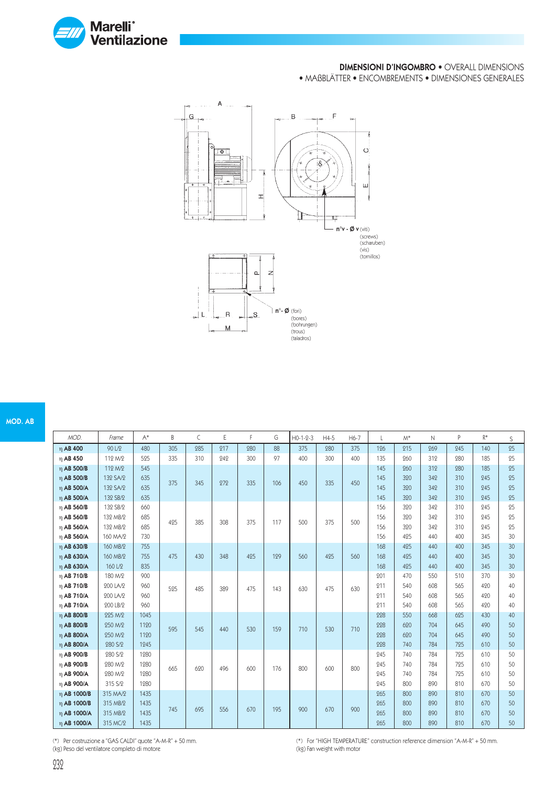

#### DIMENSIONI D'INGOMBRO • OVERALL DIMENSIONS

• MAßBLÄTTER • ENCOMBREMENTS • DIMENSIONES GENERALES



#### MOD. AB

| MOD.            | Frame    | $A^*$ | B   | C   | Ε   | F   | G   | $H0-1-2-3$ | $H4-5$ | H6-7 | L   | $M^*$ | $\mathsf{N}$ | P   | $R^*$ | S               |
|-----------------|----------|-------|-----|-----|-----|-----|-----|------------|--------|------|-----|-------|--------------|-----|-------|-----------------|
| η AB 400        | 90 L/2   | 480   | 305 | 985 | 217 | 980 | 88  | 375        | 280    | 375  | 126 | 215   | 269          | 245 | 140   | 25              |
| η AB 450        | 112 M/2  | 525   | 335 | 310 | 949 | 300 | 97  | 400        | 300    | 400  | 135 | 260   | 312          | 280 | 185   | 25              |
| η AB 500/B      | 112 M/2  | 545   |     |     |     |     |     |            |        |      | 145 | 260   | 312          | 980 | 185   | 25              |
| η AB 500/B      | 132 SA/2 | 635   | 375 | 345 | 979 | 335 | 106 | 450        | 335    | 450  | 145 | 320   | 342          | 310 | 245   | 25              |
| η AB 500/A      | 132 SA/2 | 635   |     |     |     |     |     |            |        |      | 145 | 320   | 342          | 310 | 245   | 25              |
| $\eta$ AB 500/A | 132 SB/2 | 635   |     |     |     |     |     |            |        |      | 145 | 320   | 342          | 310 | 945   | 25              |
| $\eta$ AB 560/B | 132 SB/2 | 660   |     |     |     |     |     |            |        |      | 156 | 320   | 342          | 310 | 945   | 25              |
| η AB 560/B      | 132 MB/2 | 685   | 425 | 385 | 308 | 375 | 117 | 500        | 375    | 500  | 156 | 320   | 349          | 310 | 945   | 25              |
| η AB 560/A      | 132 MB/2 | 685   |     |     |     |     |     |            |        |      | 156 | 320   | 342          | 310 | 245   | 25              |
| η AB 560/A      | 160 MA/2 | 730   |     |     |     |     |     |            |        |      | 156 | 425   | 440          | 400 | 345   | 30              |
| η AB 630/B      | 160 MB/2 | 755   |     |     |     |     |     |            |        |      | 168 | 425   | 440          | 400 | 345   | 30              |
| η AB 630/A      | 160 MB/2 | 755   | 475 | 430 | 348 | 425 | 129 | 560        | 425    | 560  | 168 | 425   | 440          | 400 | 345   | 30              |
| η AB 630/A      | 160 L/2  | 835   |     |     |     |     |     |            |        |      | 168 | 425   | 440          | 400 | 345   | 30 <sup>°</sup> |
| $\eta$ AB 710/B | 180 M/2  | 900   |     |     |     |     |     |            |        |      | 201 | 470   | 550          | 510 | 370   | 30              |
| η AB 710/B      | 200 LA/2 | 960   | 525 | 485 | 389 | 475 | 143 | 630        | 475    | 630  | 211 | 540   | 608          | 565 | 490   | 40              |
| η AB 710/A      | 200 LA/2 | 960   |     |     |     |     |     |            |        |      | 211 | 540   | 608          | 565 | 490   | 40              |
| $\eta$ AB 710/A | 200 LB/2 | 960   |     |     |     |     |     |            |        |      | 211 | 540   | 608          | 565 | 490   | 40              |
| η AB 800/B      | 225 M/2  | 1045  |     |     |     |     |     |            |        |      | 228 | 550   | 668          | 625 | 430   | 40              |
| $\eta$ AB 800/B | 250 M/2  | 1190  | 595 | 545 | 440 | 530 | 159 | 710        | 530    | 710  | 228 | 620   | 704          | 645 | 490   | 50              |
| $\eta$ AB 800/A | 250 M/2  | 1120  |     |     |     |     |     |            |        |      | 228 | 620   | 704          | 645 | 490   | 50              |
| η AB 800/A      | 280 S/2  | 1945  |     |     |     |     |     |            |        |      | 998 | 740   | 784          | 795 | 610   | 50              |
| η AB 900/B      | 280 S/2  | 1280  |     |     |     |     |     |            |        |      | 245 | 740   | 784          | 725 | 610   | 50              |
| η AB 900/B      | 280 M/2  | 1280  | 665 | 690 | 496 | 600 | 176 | 800        | 600    | 800  | 245 | 740   | 784          | 725 | 610   | 50              |
| η AB 900/A      | 280 M/2  | 1280  |     |     |     |     |     |            |        |      | 245 | 740   | 784          | 725 | 610   | 50              |
| η AB 900/A      | 315 S/2  | 1280  |     |     |     |     |     |            |        |      | 245 | 800   | 890          | 810 | 670   | 50              |
| η AB 1000/B     | 315 MA/2 | 1435  |     |     |     |     |     |            |        |      | 265 | 800   | 890          | 810 | 670   | 50              |
| η AB 1000/B     | 315 MB/2 | 1435  | 745 | 695 | 556 | 670 | 195 | 900        | 670    | 900  | 265 | 800   | 890          | 810 | 670   | 50              |
| η AB 1000/A     | 315 MB/2 | 1435  |     |     |     |     |     |            |        |      | 265 | 800   | 890          | 810 | 670   | 50              |
| η AB 1000/A     | 315 MC/2 | 1435  |     |     |     |     |     |            |        |      | 265 | 800   | 890          | 810 | 670   | 50              |

(\*) Per costruzione a "GAS CALDI" quote "A-M-R" + 50 mm. (kg) Peso del ventilatore completo di motore

(\*) For "HIGH TEMPERATURE" construction reference dimension "A-M-R" + 50 mm. (kg) Fan weight with motor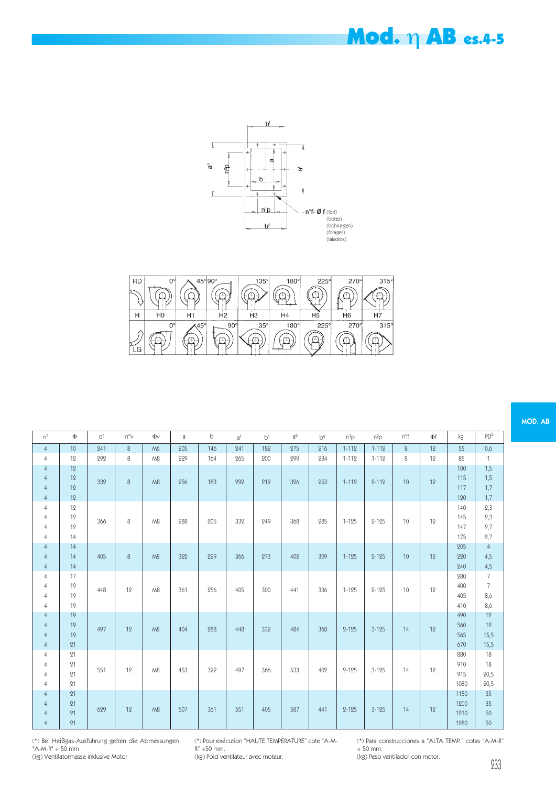# Mod. η AB es.4-5



| <b>RD</b> |                | $45^{\circ}$ 90 $^{\circ}$ |            | $135^\circ$ | $180^\circ$ | $225^\circ$   | $270^\circ$    | $315^\circ$ |
|-----------|----------------|----------------------------|------------|-------------|-------------|---------------|----------------|-------------|
|           |                |                            |            |             |             |               |                |             |
| н         | H <sub>0</sub> | H1                         | Н2         | HЗ          | H4          | H5            | H <sub>6</sub> | Η7          |
|           | Ω°             | $\sqrt{45}$ <sup>ol</sup>  | $90^\circ$ | $135^\circ$ | $180^\circ$ | $225^{\circ}$ | $270^\circ$    | 315°        |
| LG        | ---------      |                            |            |             |             |               |                |             |

| $n^{\circ}$                                                          | Φ                    | d <sup>1</sup> | $n^{\circ}$ | $\Phi$ | a   | $\circ$ | a <sup>1</sup> | b <sup>1</sup> | a <sup>2</sup> | b <sup>2</sup> | $n^1p$    | $n^2p$    | n°f     | Φf | kg                           | PD <sup>2</sup>                                |
|----------------------------------------------------------------------|----------------------|----------------|-------------|--------|-----|---------|----------------|----------------|----------------|----------------|-----------|-----------|---------|----|------------------------------|------------------------------------------------|
| $\overline{4}$                                                       | 10                   | 241            | 8           | M6     | 205 | 146     | 241            | 182            | 275            | 216            | $1 - 112$ | $1 - 112$ | $\,8\,$ | 12 | 55                           | 0,6                                            |
| $\overline{4}$                                                       | 12                   | 292            | 8           | M8     | 229 | 164     | 265            | 200            | 299            | 234            | $1 - 112$ | $1 - 112$ | $\,8\,$ | 12 | 85                           | $\mathbf{1}$                                   |
| $\overline{4}$<br>$\overline{4}$<br>$\overline{4}$<br>$\overline{4}$ | 12<br>12<br>12<br>12 | 332            | $\,8\,$     | M8     | 256 | 183     | 292            | 219            | 326            | 253            | $1 - 112$ | $2 - 112$ | 10      | 12 | 100<br>115<br>117<br>120     | 1,5<br>1,5<br>1,7<br>1,7                       |
| $\overline{4}$<br>$\overline{4}$<br>$\overline{4}$<br>$\overline{4}$ | 12<br>12<br>12<br>14 | 366            | 8           | M8     | 288 | 205     | 332            | 249            | 368            | 285            | $1 - 125$ | $2 - 125$ | 10      | 12 | 140<br>145<br>147<br>175     | 2,3<br>2,3<br>2,7<br>2,7                       |
| $\overline{4}$<br>$\overline{4}$<br>$\overline{4}$                   | 14<br>14<br>14       | 405            | 8           | M8     | 322 | 229     | 366            | 273            | 402            | 309            | $1 - 125$ | $2 - 125$ | 10      | 12 | 205<br>220<br>240            | $\overline{4}$<br>4,5<br>4,5                   |
| $\overline{4}$<br>$\overline{4}$<br>$\overline{4}$<br>$\overline{4}$ | 17<br>19<br>19<br>19 | 448            | 12          | M8     | 361 | 256     | 405            | 300            | 441            | 336            | $1 - 125$ | $2 - 125$ | 10      | 12 | 280<br>400<br>405<br>410     | $\overline{7}$<br>$\overline{7}$<br>8,6<br>8,6 |
| $\overline{4}$<br>$\overline{4}$<br>$\overline{4}$<br>$\overline{4}$ | 19<br>19<br>19<br>21 | 497            | 12          | M8     | 404 | 288     | 448            | 332            | 484            | 368            | $2 - 125$ | $3 - 125$ | 14      | 12 | 490<br>560<br>565<br>670     | 12<br>12<br>15,5<br>15,5                       |
| $\overline{4}$<br>$\overline{4}$<br>$\overline{4}$<br>$\overline{4}$ | 21<br>21<br>21<br>21 | 551            | 12          | M8     | 453 | 322     | 497            | 366            | 533            | 402            | $2 - 125$ | $3 - 125$ | 14      | 12 | 880<br>910<br>915<br>1080    | 18<br>18<br>20,5<br>20,5                       |
| $\overline{4}$<br>$\overline{4}$<br>$\overline{4}$<br>$\overline{4}$ | 21<br>21<br>21<br>21 | 629            | 12          | M8     | 507 | 361     | 551            | 405            | 587            | 441            | $2 - 125$ | $3 - 125$ | 14      | 12 | 1150<br>1200<br>1210<br>1280 | 35<br>$35\,$<br>$50\,$<br>50                   |

(\*) Bei Heißgas-Ausführung gelten die Abmessungen "A-M-R" + 50 mm (kg) Ventilatormasse inklusive Motor

(\*) Pour exécution "HAUTE TEMPERATURE" cote "A-M-R" +50 mm.

(kg) Poid ventilateur avec moteur.

(\*) Para construcciones a "ALTA TEMP." cotas "A-M-R" + 50 mm.

(kg) Peso ventilador con motor.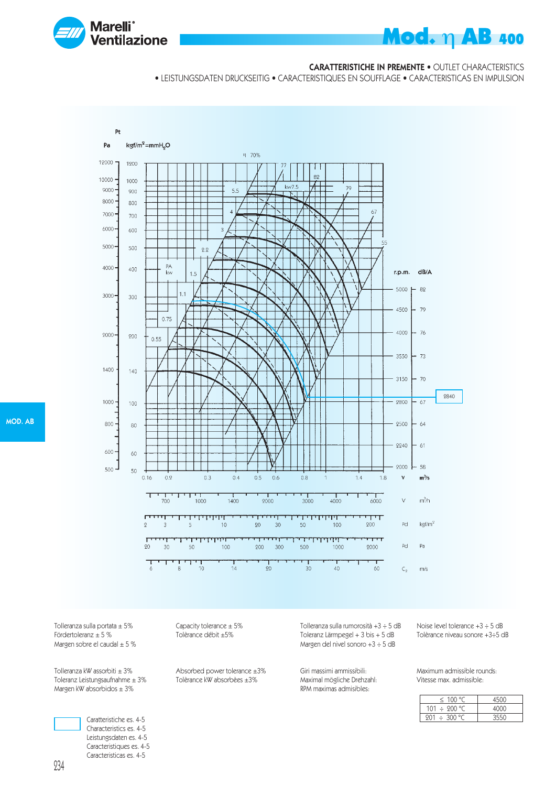

#### CARATTERISTICHE IN PREMENTE • OUTLET CHARACTERISTICS

• LEISTUNGSDATEN DRUCKSEITIG • CARACTERISTIQUES EN SOUFFLAGE • CARACTERISTICAS EN IMPULSION



Tolleranza sulla portata  $\pm 5\%$ <br>
Fördertoleranz  $\pm 5\%$ <br>
Tolèrance débit  $\pm 5\%$ Fördertoleranz  $\pm$  5 % Margen sobre el caudal  $\pm$  5 %

Tolleranza kW assorbiti ± 3% Absorbed power tolerance ±3%<br>Toleranz Leistungsaufnahme ± 3% Tolèrance kW absorbèes ±3% Toleranz Leistungsaufnahme  $\pm 3\%$ Margen kW absorbidos  $\pm 3\%$ 

> Caratteristiche es. 4-5 Characteristics es. 4-5 Leistungsdaten es. 4-5 Caracteristiques es. 4-5 Caracteristicas es. 4-5

Tolleranza sulla rumorosità +3  $\div$  5 dB Noise level tolerance +3  $\div$  5 dB<br>Toleranz Lärmpegel + 3 bis + 5 dB Tolèrance niveau sonore +3 $\div$ 5 dB Toleranz Lärmpegel +  $3$  bis +  $5$  dB Margen del nivel sonoro +3 ÷ 5 dB

Maximal mögliche Drehzahl: RPM maximas admisibles:

Giri massimi ammissibili: Maximum admissible rounds:<br>Maximal mögliche Drehzahl: Vitesse max. admissible:

| $\leq$ 100 °C.    | 4500 |
|-------------------|------|
| 101 $\div$ 200 °C | 4000 |
| $201 \div 300$ °C | 3550 |

MOD. AB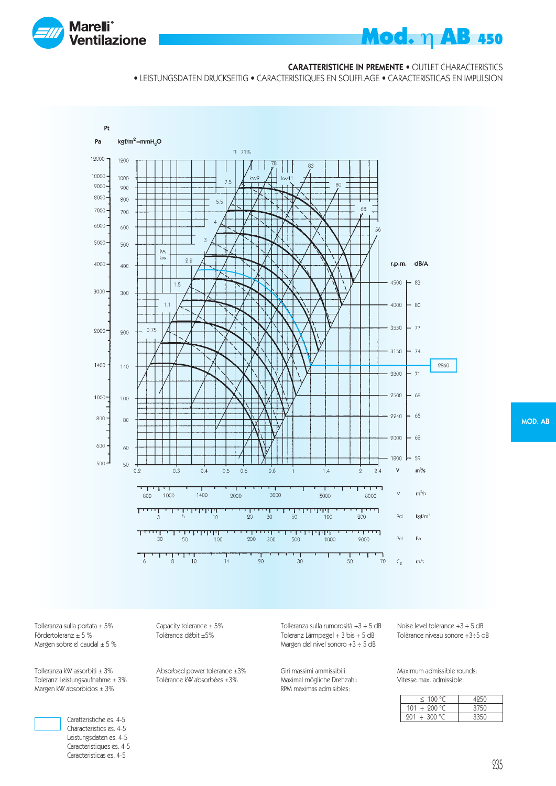

#### CARATTERISTICHE IN PREMENTE • OUTLET CHARACTERISTICS

• LEISTUNGSDATEN DRUCKSEITIG • CARACTERISTIQUES EN SOUFFLAGE • CARACTERISTICAS EN IMPULSION



MOD. AB

Tolleranza sulla portata  $\pm 5\%$ <br>
Fördertoleranz  $\pm 5\%$ <br>
Tolèrance débit  $\pm 5\%$ Margen sobre el caudal  $\pm$  5 %

Tolleranza kW assorbiti ± 3% Absorbed power tolerance ±3%<br>Toleranz Leistungsaufnahme ± 3% Tolèrance kW absorbèes ±3% Toleranz Leistungsaufnahme  $\pm 3\%$ Margen kW absorbidos  $\pm 3\%$ 



Caratteristiche es. 4-5 Characteristics es. 4-5 Leistungsdaten es. 4-5 Caracteristiques es. 4-5 Caracteristicas es. 4-5

Tolèrance débit ±5%

Tolleranza sulla rumorosità +3  $\div$  5 dB Noise level tolerance +3  $\div$  5 dB<br>Toleranz Lärmpegel + 3 bis + 5 dB Tolèrance niveau sonore +3 $\div$ 5 dB Toleranz Lärmpegel +  $3$  bis +  $5$  dB Margen del nivel sonoro +3 ÷ 5 dB

Giri massimi ammissibili: Maximum admissible rounds: Maximal mögliche Drehzahl: RPM maximas admisibles:

| $\leq$ 100 °C     |      |
|-------------------|------|
| 101 $\div$ 200 °C | 3750 |
| $201 \div 300$ °C | 3350 |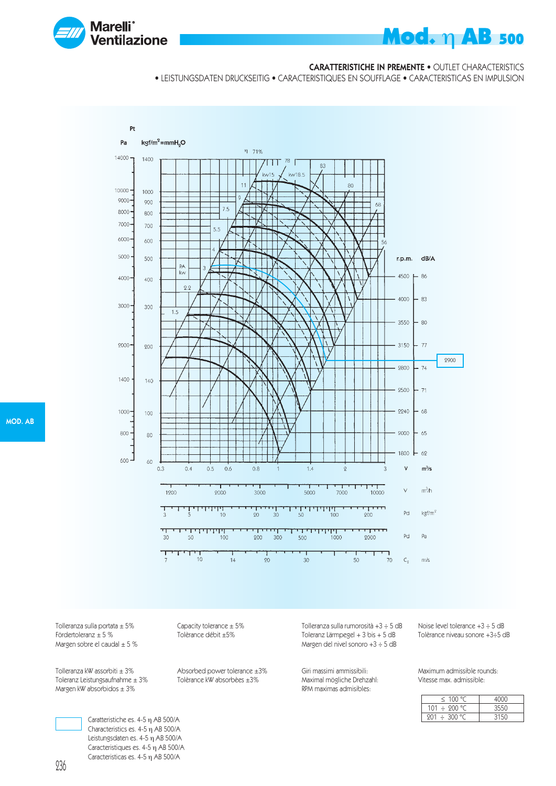

#### CARATTERISTICHE IN PREMENTE • OUTLET CHARACTERISTICS

• LEISTUNGSDATEN DRUCKSEITIG • CARACTERISTIQUES EN SOUFFLAGE • CARACTERISTICAS EN IMPULSION



MOD. AB

Tolleranza sulla portata  $\pm 5\%$  Capacity tolerance  $\pm 5\%$ <br>Fördertoleranz  $\pm 5\%$  Tolèrance débit  $\pm 5\%$ Margen sobre el caudal  $\pm$  5 %

Tolleranza kW assorbiti ± 3% Absorbed power tolerance ±3%<br>Toleranz Leistungsaufnahme ± 3% Tolèrance kW absorbèes ±3% Toleranz Leistungsaufnahme  $\pm 3\%$ Margen kW absorbidos  $\pm 3\%$ 

> Caratteristiche es. 4-5 η AB 500/A Characteristics es. 4-5 η AB 500/A Leistungsdaten es. 4-5 η AB 500/A Caracteristiques es. 4-5 η AB 500/A Caracteristicas es. 4-5 η AB 500/A

Tolèrance débit ±5%

Tolleranza sulla rumorosità +3 ÷ 5 dB Noise level tolerance +3 ÷ 5 dB Toleranz Lärmpegel +  $3$  bis +  $5$  dB Margen del nivel sonoro +3 ÷ 5 dB

Maximal mögliche Drehzahl: RPM maximas admisibles:

Giri massimi ammissibili: Maximum admissible rounds:

| < 100 °C          | 100C |
|-------------------|------|
| 101 $\div$ 200 °C | 3550 |
| $201 \div 300$ °C | 3150 |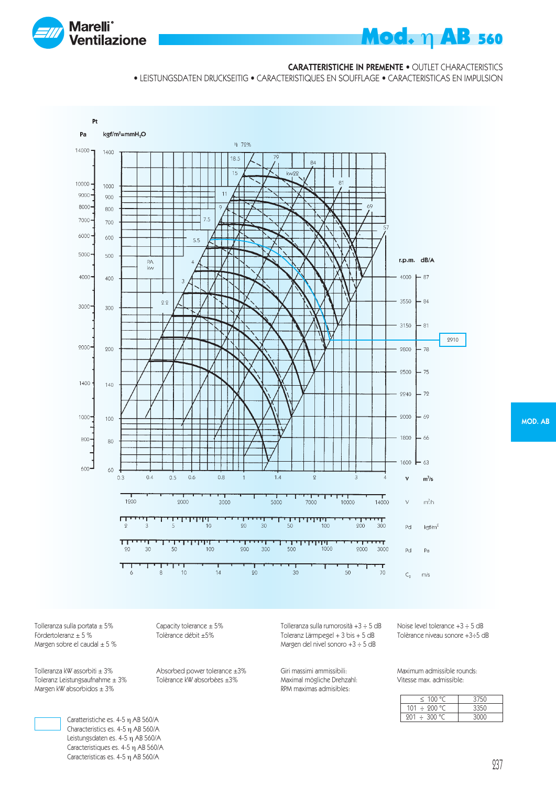

#### **CARATTERISTICHE IN PREMENTE • OUTLET CHARACTERISTICS**

• LEISTUNGSDATEN DRUCKSEITIG • CARACTERISTIQUES EN SOUFFLAGE • CARACTERISTICAS EN IMPULSION



Tolleranza sulla portata ± 5% Capacity tolerance  $\pm$  5% Capacity tolerance  $\pm$  5% Corrected Tolerance débit  $\pm$  5% Margen sobre el caudal  $\pm$  5 %

Tolleranza kW assorbiti ± 3% Absorbed power tolerance ±3%<br>Toleranz Leistungsaufnahme ± 3% Tolèrance kW absorbèes ±3% Toleranz Leistungsaufnahme  $\pm 3\%$ Margen kW absorbidos  $\pm 3\%$ 

Tolèrance débit ±5%

Tolleranza sulla rumorosità +3 ÷ 5 dB Noise level tolerance +3 ÷ 5 dB<br>Toleranz Lärmpegel + 3 bis + 5 dB Tolèrance niveau sonore +3÷5 dB Toleranz Lärmpegel +  $3$  bis +  $5$  dB Margen del nivel sonoro +3 ÷ 5 dB

Giri massimi ammissibili: Maximum admissible rounds: Maximal mögliche Drehzahl: RPM maximas admisibles:

| $\leq$ 100 °C     | 3750 |
|-------------------|------|
| $101 \div 200$ °C | 3350 |
| $201 \div 300$ °C | 3000 |



Caratteristiche es. 4-5 η AB 560/A Characteristics es. 4-5 η AB 560/A Leistungsdaten es. 4-5 η AB 560/A Caracteristiques es. 4-5 η AB 560/A Caracteristicas es. 4-5 η AB 560/A

MOD. AB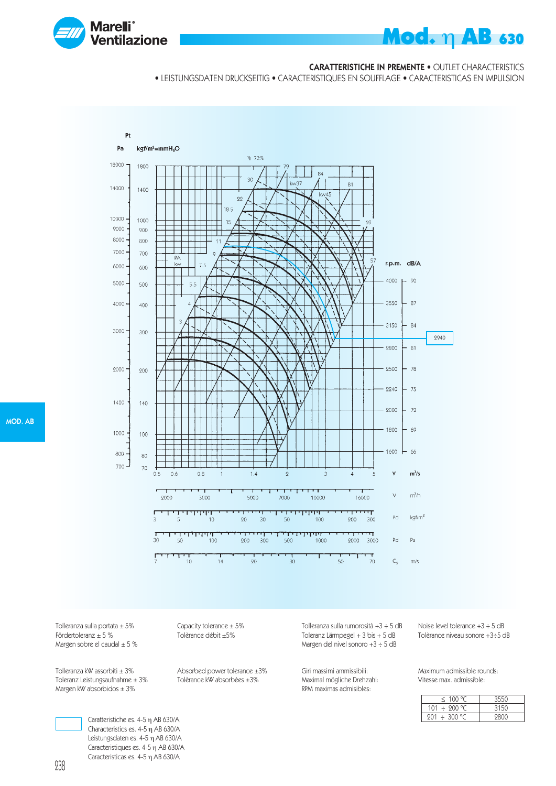

#### CARATTERISTICHE IN PREMENTE • OUTLET CHARACTERISTICS

• LEISTUNGSDATEN DRUCKSEITIG • CARACTERISTIQUES EN SOUFFLAGE • CARACTERISTICAS EN IMPULSION



MOD. AB

Tolleranza sulla portata ± 5% Capacity tolerance ± 5%<br>Fördertoleranz ± 5 % Tolèrance débit ±5% Margen sobre el caudal  $\pm$  5 %

Tolleranza kW assorbiti ± 3% Absorbed power tolerance ±3%<br>Toleranz Leistungsaufnahme ± 3% Tolèrance kW absorbèes ±3% Toleranz Leistungsaufnahme  $\pm 3\%$ Margen kW absorbidos  $\pm 3\%$ 

Tolèrance débit ±5%

Tolleranza sulla rumorosità +3 ÷ 5 dB Noise level tolerance +3 ÷ 5 dB Toleranz Lärmpegel +  $3$  bis +  $5$  dB Margen del nivel sonoro +3 ÷ 5 dB

Maximal mögliche Drehzahl: RPM maximas admisibles:

Giri massimi ammissibili: Maximum admissible rounds:

| $\leq$ 100 °C     | -3550 |
|-------------------|-------|
| 101 $\div$ 200 °C | 3150  |
| $201 \div 300$ °C | 9800  |

Caratteristiche es. 4-5 η AB 630/A Characteristics es. 4-5 η AB 630/A Leistungsdaten es. 4-5 η AB 630/A Caracteristiques es. 4-5 η AB 630/A Caracteristicas es. 4-5 η AB 630/A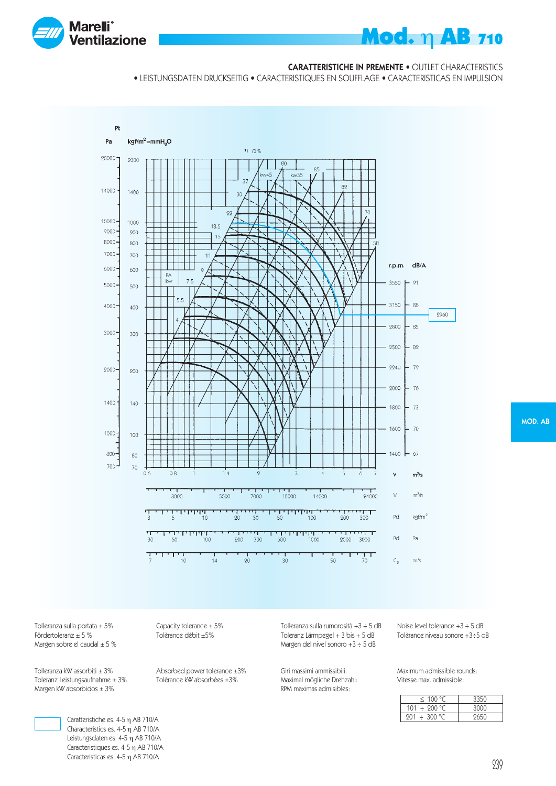

#### CARATTERISTICHE IN PREMENTE • OUTLET CHARACTERISTICS

• LEISTUNGSDATEN DRUCKSEITIG • CARACTERISTIQUES EN SOUFFLAGE • CARACTERISTICAS EN IMPULSION



MOD. AB

Tolleranza sulla portata  $\pm 5\%$ <br>Fördertoleranz  $\pm 5\%$ <br>Tolèrance débit  $\pm 5\%$ Margen sobre el caudal  $\pm$  5 %

Tolleranza kW assorbiti ± 3% Absorbed power tolerance ±3%<br>Toleranz Leistungsaufnahme ± 3% Tolèrance kW absorbèes ±3% Toleranz Leistungsaufnahme  $\pm 3\%$ Margen kW absorbidos  $\pm 3\%$ 

Tolèrance débit ±5%

Tolleranza sulla rumorosità +3  $\div$  5 dB Noise level tolerance +3  $\div$  5 dB<br>Toleranz Lärmpegel + 3 bis + 5 dB Tolèrance niveau sonore +3 $\div$ 5 dB Toleranz Lärmpegel +  $3$  bis +  $5$  dB Margen del nivel sonoro +3 ÷ 5 dB

Giri massimi ammissibili: Maximum admissible rounds: Maximal mögliche Drehzahl: RPM maximas admisibles:

| < 100 °C          | 3350 |
|-------------------|------|
| $101 \div 200$ °C | 3000 |
| $201 \div 300$ °C | 9650 |



Caratteristiche es. 4-5 η AB 710/A Characteristics es. 4-5 η AB 710/A Leistungsdaten es. 4-5 η AB 710/A Caracteristiques es. 4-5 η AB 710/A Caracteristicas es. 4-5 η AB 710/A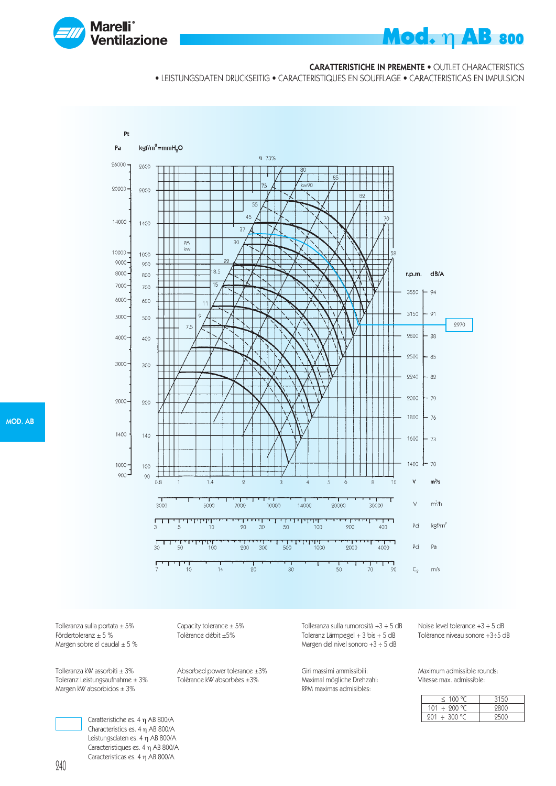

#### CARATTERISTICHE IN PREMENTE • OUTLET CHARACTERISTICS

• LEISTUNGSDATEN DRUCKSEITIG • CARACTERISTIQUES EN SOUFFLAGE • CARACTERISTICAS EN IMPULSION



Tolleranza sulla portata ± 5% Capacity tolerance ± 5%<br>Fördertoleranz ± 5 % Tolèrance débit ±5% Margen sobre el caudal  $\pm$  5 %

Tolleranza kW assorbiti ± 3% Absorbed power tolerance ±3%<br>Toleranz Leistungsaufnahme ± 3% Tolèrance kW absorbèes ±3% Toleranz Leistungsaufnahme  $\pm 3\%$ Margen kW absorbidos  $\pm 3\%$ 

> Caratteristiche es. 4 η AB 800/A Characteristics es. 4 η AB 800/A Leistungsdaten es. 4 η AB 800/A Caracteristiques es. 4 η AB 800/A Caracteristicas es. 4 η AB 800/A

Tolèrance débit ±5%

Margen del nivel sonoro +3 ÷ 5 dB

Toleranz Lärmpegel +  $3$  bis +  $5$  dB

Maximal mögliche Drehzahl: RPM maximas admisibles:

Giri massimi ammissibili: Maximum admissible rounds:<br>Maximal mögliche Drehzahl: Vitesse max. admissible:

Tolleranza sulla rumorosità +3 ÷ 5 dB Noise level tolerance +3 ÷ 5 dB

| $\leq$ 100 °C     | 3150 |
|-------------------|------|
| 101 $\div$ 200 °C | 9800 |
| 201 ÷ 300 °C      |      |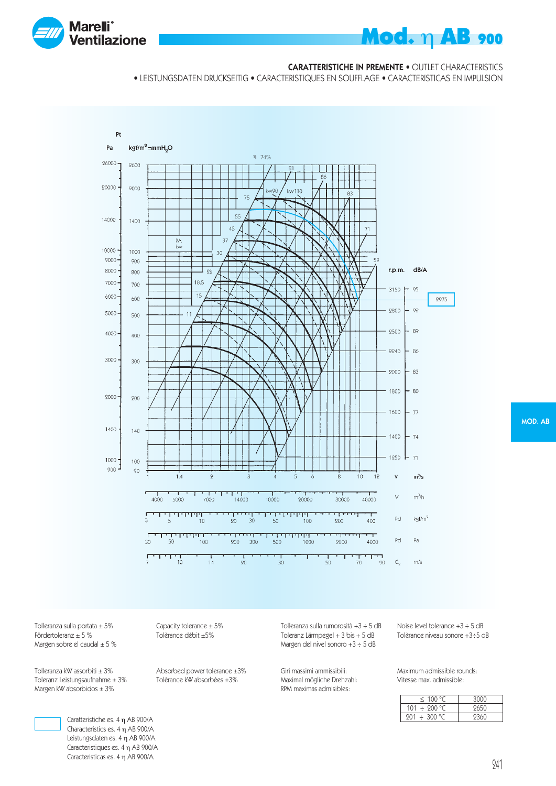

#### CARATTERISTICHE IN PREMENTE • OUTLET CHARACTERISTICS

• LEISTUNGSDATEN DRUCKSEITIG • CARACTERISTIQUES EN SOUFFLAGE • CARACTERISTICAS EN IMPULSION



Tolleranza sulla portata  $\pm 5\%$ <br>Fördertoleranz  $\pm 5\%$ <br>Tolèrance débit  $\pm 5\%$ Margen sobre el caudal  $\pm$  5 %

Tolleranza kW assorbiti ± 3% Absorbed power tolerance ±3%<br>Toleranz Leistungsaufnahme ± 3% Tolèrance kW absorbèes ±3% Toleranz Leistungsaufnahme  $\pm 3\%$ Margen kW absorbidos  $\pm 3\%$ 

Tolèrance débit ±5%

Tolleranza sulla rumorosità +3  $\div$  5 dB Noise level tolerance +3  $\div$  5 dB<br>Toleranz Lärmpegel + 3 bis + 5 dB Tolèrance niveau sonore +3 $\div$ 5 dB Toleranz Lärmpegel +  $3$  bis +  $5$  dB Margen del nivel sonoro +3 ÷ 5 dB

Giri massimi ammissibili: Maximum admissible rounds: Maximal mögliche Drehzahl: RPM maximas admisibles:

| < 100 °C          | 3000 |
|-------------------|------|
| 101 $\div$ 200 °C | 9650 |
| $201 \div 300$ °C | 9360 |

MOD. AB

Caratteristiche es. 4 η AB 900/A Characteristics es. 4 η AB 900/A Leistungsdaten es. 4 η AB 900/A Caracteristiques es. 4 η AB 900/A Caracteristicas es. 4 η AB 900/A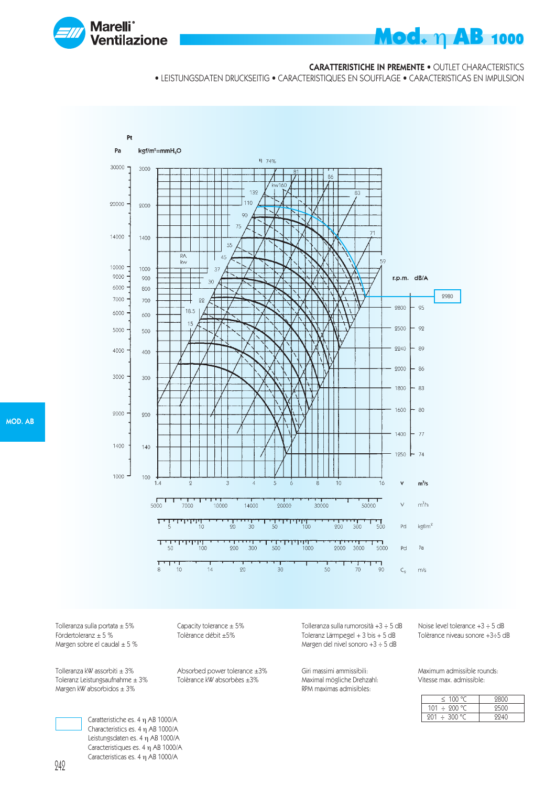

#### CARATTERISTICHE IN PREMENTE • OUTLET CHARACTERISTICS

• LEISTUNGSDATEN DRUCKSEITIG • CARACTERISTIQUES EN SOUFFLAGE • CARACTERISTICAS EN IMPULSION



Tolleranza sulla portata ± 5% Capacity tolerance ± 5%<br>Fördertoleranz ± 5 % Tolèrance débit ±5% Margen sobre el caudal  $\pm$  5 %

Toleranz Leistungsaufnahme  $\pm 3\%$ Margen kW absorbidos  $\pm 3\%$ 

Tolèrance débit ±5%

Tolleranza kW assorbiti ± 3% Absorbed power tolerance ±3%<br>Toleranz Leistungsaufnahme ± 3% Tolèrance kW absorbèes ±3%

Tolleranza sulla rumorosità +3 ÷ 5 dB Noise level tolerance +3 ÷ 5 dB Toleranz Lärmpegel +  $3$  bis +  $5$  dB Margen del nivel sonoro +3 ÷ 5 dB

Maximal mögliche Drehzahl: RPM maximas admisibles:

Giri massimi ammissibili: Maximum admissible rounds:

| $\leq$ 100 °C     | 9800 |
|-------------------|------|
| 101 $\div$ 200 °C | 9500 |
| $201 \div 300$ °C | 9940 |

Caratteristiche es. 4 η AB 1000/A Characteristics es. 4 η AB 1000/A Leistungsdaten es. 4 η AB 1000/A Caracteristiques es. 4 η AB 1000/A Caracteristicas es. 4 η AB 1000/A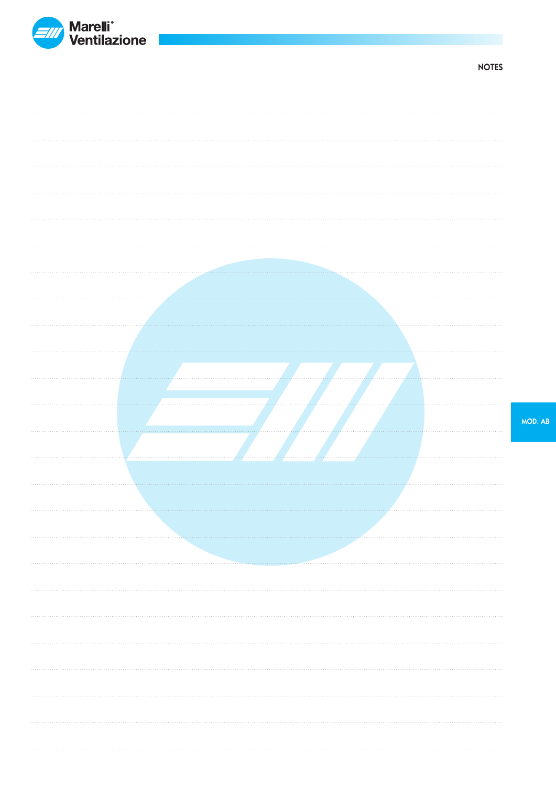

NOTES

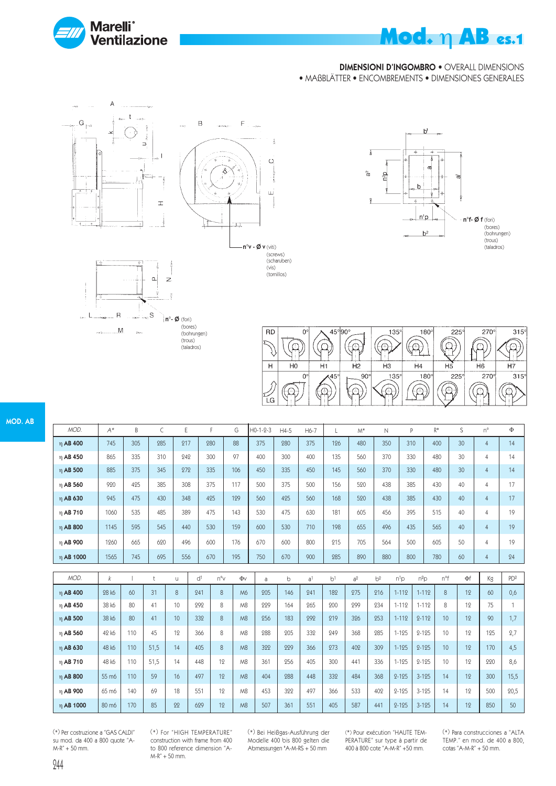

# Mod. η AB es.1

n°f- Ø f (fori)

'n,

(bores) (bohrungen) (trous)<br>(taladros)

#### DIMENSIONI D'INGOMBRO • OVERALL DIMENSIONS

 $b^1$ 

 $\mathbf{h}$ 

 $n^{1}p$ 

 $b<sup>2</sup>$ 

• MAßBLÄTTER • ENCOMBREMENTS • DIMENSIONES GENERALES

 $\bar{\delta}$ 

್ದ n<sup>2</sup>D

Ŧ





(vis) (tornillos)



| <b>RD</b> | 0°             | $45^{\circ}$ 90 $^{\circ}$ |              | $135^\circ$ | $180^\circ$      | $225^\circ$ | $270^\circ$    | $315^\circ$ |
|-----------|----------------|----------------------------|--------------|-------------|------------------|-------------|----------------|-------------|
|           |                |                            |              |             | Personal provide |             |                |             |
| н         | H <sub>0</sub> |                            | Н2           | HЗ          | H <sub>4</sub>   | H5          | H <sub>6</sub> |             |
|           | 0°             | $\sqrt{45}$ <sup>ol</sup>  | $90^{\circ}$ | $135^\circ$ | $180^\circ$      | $225^\circ$ | $270^\circ$    | 315°        |
| LG        |                |                            |              |             |                  |             |                |             |

| MOD.      | $A^*$ | B   |     | Ε   |     | G   | $H0-1-2-3$ | $H4-5$ | $H6-7$ |     | $M^*$ | N   | P   | R*  | S               | $n^{\circ}$    | Φ  |
|-----------|-------|-----|-----|-----|-----|-----|------------|--------|--------|-----|-------|-----|-----|-----|-----------------|----------------|----|
| η AB 400  | 745   | 305 | 285 | 917 | 280 | 88  | 375        | 980    | 375    | 126 | 480   | 350 | 310 | 400 | 30 <sup>2</sup> | 4              | 14 |
| η AB 450  | 865   | 335 | 310 | 242 | 300 | 97  | 400        | 300    | 400    | 135 | 560   | 370 | 330 | 480 | 30              | $\overline{4}$ | 14 |
| η AB 500  | 885   | 375 | 345 | 272 | 335 | 106 | 450        | 335    | 450    | 145 | 560   | 370 | 330 | 480 | 30 <sup>2</sup> | $\overline{4}$ | 14 |
| η AB 560  | 920   | 425 | 385 | 308 | 375 | 117 | 500        | 375    | 500    | 156 | 590   | 438 | 385 | 430 | 40              | 4              | 17 |
| η AB 630  | 945   | 475 | 430 | 348 | 425 | 129 | 560        | 425    | 560    | 168 | 520   | 438 | 385 | 430 | 40              | $\overline{4}$ | 17 |
| η AB 710  | 1060  | 535 | 485 | 389 | 475 | 143 | 530        | 475    | 630    | 181 | 605   | 456 | 395 | 515 | 40              | $\overline{4}$ | 19 |
| η AB 800  | 1145  | 595 | 545 | 440 | 530 | 159 | 600        | 530    | 710    | 198 | 655   | 496 | 435 | 565 | 40              | $\overline{4}$ | 19 |
| η AB 900  | 1260  | 665 | 620 | 496 | 600 | 176 | 670        | 600    | 800    | 915 | 70.5  | 564 | 500 | 605 | 50              | 4              | 19 |
| η AB 1000 | 1565  | 745 | 695 | 556 | 670 | 195 | 750        | 670    | 900    | 285 | 890   | 880 | 800 | 780 | 60              | $\overline{4}$ | 24 |

| MOD.          | k                 |     |      | U  | d <sup>1</sup> | $n^{\circ}$ | Φv             | a   | b   | a <sup>1</sup> | b <sup>1</sup> | a <sup>2</sup> | b <sup>2</sup> | $n^{1}D$  | $n^2$ <sub>D</sub> | n°f | $\Phi$ f | Кg  | PD <sup>2</sup> |
|---------------|-------------------|-----|------|----|----------------|-------------|----------------|-----|-----|----------------|----------------|----------------|----------------|-----------|--------------------|-----|----------|-----|-----------------|
| $\eta$ AB 400 | 28 k6             | 60  | 31   | 8  | 241            | 8           | M <sub>6</sub> | 205 | 146 | 241            | 182            | 275            | 216            | $1 - 112$ | $1 - 112$          | 8   | 12       | 60  | 0,6             |
| η AB 450      | 38 k6             | 80  | 41   | 10 | 292            | 8           | M <sub>8</sub> | 229 | 164 | 265            | 200            | 299            | 234            | $1 - 112$ | $1 - 112$          | 8   | 12       | 75  |                 |
| n AB 500      | 38 k6             | 80  | 41   | 10 | 332            | 8           | M <sub>8</sub> | 256 | 183 | 292            | 219            | 326            | 253            | $1 - 112$ | $2 - 112$          | 10  | 12       | 90  | 1,7             |
| η AB 560      | 42 k6             | 110 | 45   | 12 | 366            | 8           | M <sub>8</sub> | 988 | 905 | 332            | 249            | 368            | 285            | $1 - 125$ | $2 - 125$          | 10  | 19       | 195 | 2,7             |
| η AB 630      | 48 k6             | 110 | 51,5 | 14 | 405            | 8           | M <sub>8</sub> | 322 | 229 | 366            | 273            | 402            | 309            | $1 - 125$ | $2 - 125$          | 10  | 12       | 170 | 4,5             |
| η AB 710      | 48 k6             | 110 | 51,5 | 14 | 448            | 12          | M <sub>8</sub> | 361 | 256 | 405            | 300            | 441            | 336            | $1 - 125$ | $2 - 125$          | 10  | 12       | 220 | 8,6             |
| $\eta$ AB 800 | 55 m <sub>6</sub> | 110 | 59   | 16 | 497            | 12          | M <sub>8</sub> | 404 | 288 | 448            | 332            | 484            | 368            | $2 - 125$ | $3 - 125$          | 14  | 12       | 300 | 15,5            |
| η AB 900      | 65 m6             | 140 | 69   | 18 | 551            | 19          | M <sub>8</sub> | 453 | 322 | 497            | 366            | 533            | 402            | 2-125     | $3 - 125$          | 14  | 19       | 500 | 20,5            |
| η AB 1000     | 80 m <sub>6</sub> | 170 | 85   | 22 | 629            | 12          | M <sub>8</sub> | 507 | 361 | 551            | 405            | 587            | 441            | $2 - 125$ | $3 - 125$          | 14  | 12       | 850 | 50              |

(\*) Per costruzione a "GAS CALDI" su mod. da 400 a 800 quote "A-M-R" + 50 mm.

(\*) For "HIGH TEMPERATURE" construction with frame from 400 to 800 reference dimension "A-M-R" + 50 mm.

(\*) Bei Heißgas-Ausführung der Modelle 400 bis 800 gelten die Abmessungen "A-M-RS + 50 mm

(\*) Pour exécution "HAUTE TEM-PERATURE" sur type à partir de 400 à 800 cote "A-M-R" +50 mm.

(\*) Para construcciones a "ALTA TEMP." en mod. de 400 a 800, cotas "A-M-R" + 50 mm.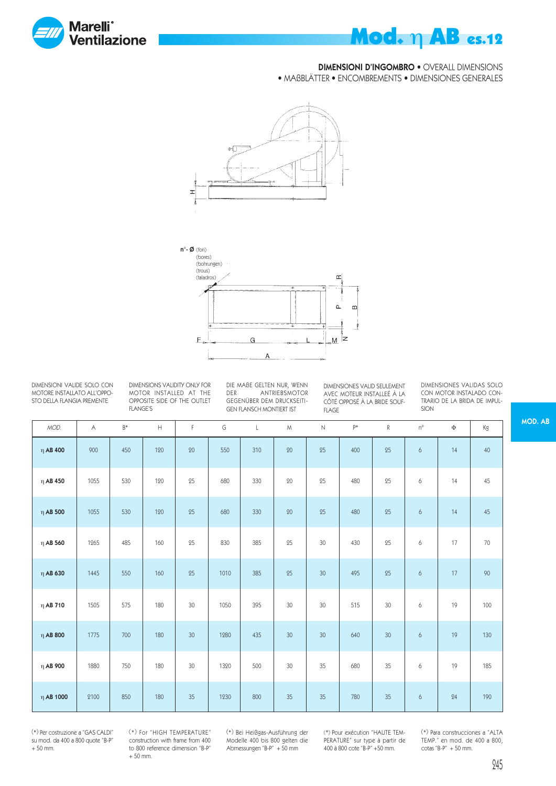

# **Mod.** η **AB** es.12

#### DIMENSIONI D'INGOMBRO • OVERALL DIMENSIONS

• MAßBLÄTTER • ENCOMBREMENTS • DIMENSIONES GENERALES





DIMENSIONI VALIDE SOLO CON MOTORE INSTALLATO ALL'OPPO-STO DELLA FLANGIA PREMENTE

DIMENSIONS VALIDITY ONLY FOR MOTOR INSTALLED AT THE OPPOSITE SIDE OF THE OUTLET FLANGE'S

DIE MAßE GELTEN NUR, WENN<br>DER ANTRIEBSMOTOR ANTRIEBSMOTOR GEGENÜBER DEM DRUCKSEITI-GEN FLANSCH MONTIERT IST

DIMENSIONES VALID SEULEMENT AVEC MOTEUR INSTALLEÉ À LA CÔTÉ OPPOSÉ À LA BRIDE SOUF-FLAGE

DIMENSIONES VALIDAS SOLO CON MOTOR INSTALADO CON-TRARIO DE LA BRIDA DE IMPUL-SION

| MOD.           | $\wedge$ | $B*$ | $\mathsf{H}% _{\mathsf{H}}^{\mathsf{H}}(\mathcal{A})\cong\mathsf{H}_{\mathsf{H}}^{\mathsf{H}}(\mathcal{A})$ | F  | G    | $\mathsf{L}$ | M  | $\mathbb N$ | p*  | $\mathsf R$ | $n^{\circ}$ | Φ  | Кg  |
|----------------|----------|------|-------------------------------------------------------------------------------------------------------------|----|------|--------------|----|-------------|-----|-------------|-------------|----|-----|
| $η$ AB 400     | 900      | 450  | 120                                                                                                         | 20 | 550  | 310          | 20 | 25          | 400 | 25          | 6           | 14 | 40  |
| η $AB$ 450     | 1055     | 530  | 120                                                                                                         | 25 | 680  | 330          | 20 | 25          | 480 | 25          | 6           | 14 | 45  |
| $\eta$ AB 500  | 1055     | 530  | 120                                                                                                         | 25 | 680  | 330          | 20 | 25          | 480 | 25          | 6           | 14 | 45  |
| $\eta$ AB 560  | 1265     | 485  | 160                                                                                                         | 25 | 830  | 385          | 25 | 30          | 430 | 25          | 6           | 17 | 70  |
| $η$ AB 630     | 1445     | 550  | 160                                                                                                         | 25 | 1010 | 385          | 25 | 30          | 495 | 25          | 6           | 17 | 90  |
| η AB 710       | 1505     | 575  | 180                                                                                                         | 30 | 1050 | 395          | 30 | 30          | 515 | 30          | 6           | 19 | 100 |
| $\eta$ AB 800  | 1775     | 700  | 180                                                                                                         | 30 | 1280 | 435          | 30 | 30          | 640 | 30          | 6           | 19 | 130 |
| η AB 900       | 1880     | 750  | 180                                                                                                         | 30 | 1320 | 500          | 30 | 35          | 680 | 35          | 6           | 19 | 185 |
| $\eta$ AB 1000 | 2100     | 850  | 180                                                                                                         | 35 | 1230 | 800          | 35 | 35          | 780 | 35          | 6           | 24 | 190 |

(\*) Per costruzione a "GAS CALDI" su mod. da 400 a 800 quote "B-P" + 50 mm.

(\*) For "HIGH TEMPERATURE" construction with frame from 400 to 800 reference dimension "B-P"  $+50$  mm.

(\*) Bei Heißgas-Ausführung der Modelle 400 bis 800 gelten die Abmessungen "B-P" + 50 mm

(\*) Pour exécution "HAUTE TEM-PERATURE" sur type à partir de 400 à 800 cote "B-P" +50 mm.

(\*) Para construcciones a "ALTA TEMP." en mod. de 400 a 800, cotas "B-P"  $+50$  mm.

MOD. AB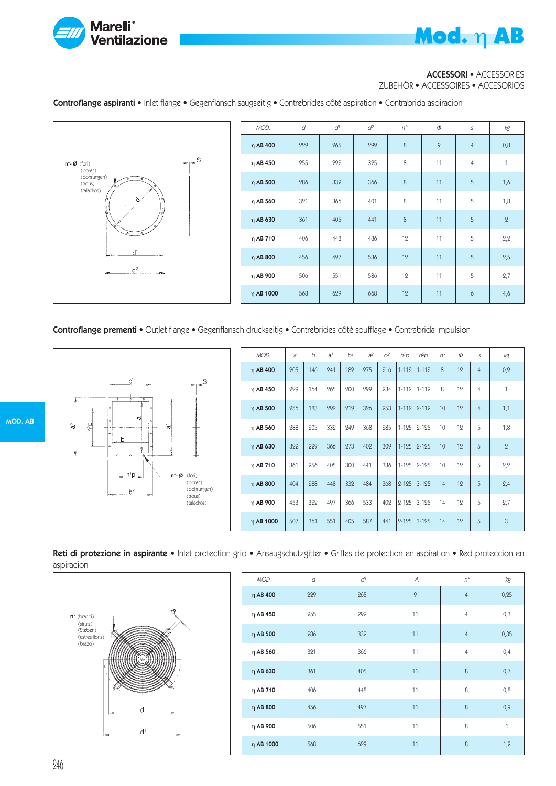

#### ACCESSORI • ACCESSORIES

ZUBEHÖR • ACCESSOIRES • ACCESORIOS

Controflange aspiranti • Inlet flange • Gegenflansch saugseitig • Contrebrides côté aspiration • Contrabrida aspiracion



| MOD.           | d   | $d^1$ | $d^2$ | $n^{\circ}$ | $\Phi$ | $\cal S$       | kg           |
|----------------|-----|-------|-------|-------------|--------|----------------|--------------|
| $\eta$ AB 400  | 229 | 265   | 299   | 8           | 9      | $\overline{4}$ | 0,8          |
| $\eta$ AB 450  | 255 | 292   | 325   | 8           | 11     | $\overline{4}$ | $\mathbf{1}$ |
| $\eta$ AB 500  | 286 | 332   | 366   | 8           | 11     | 5              | 1,6          |
| $\eta$ AB 560  | 321 | 366   | 401   | 8           | 11     | 5              | 1,8          |
| η AB 630       | 361 | 405   | 441   | 8           | 11     | $\sqrt{5}$     | $\,2\,$      |
| $\eta$ AB 710  | 406 | 448   | 486   | 12          | 11     | 5              | 2,2          |
| $\eta$ AB 800  | 456 | 497   | 536   | 12          | 11     | 5              | 2,5          |
| $\eta$ AB 900  | 506 | 551   | 586   | 12          | 11     | 5              | 2,7          |
| $\eta$ AB 1000 | 568 | 629   | 668   | 12          | 11     | 6              | 4,6          |

Controflange prementi • Outlet flange • Gegenflansch druckseitig • Contrebrides côté soufflage • Contrabrida impulsion

h  $S_{\alpha}$  $\sim$  $n^2D$  $\frac{\infty}{\Omega}$ ÷,  $\mathbf{r}$  $n<sup>1</sup>p$ n°- Ø (fori) (bores) (bohrungen)  $b<sup>2</sup>$ (trous) (taladros)

| MOD.           | a   | b   | a <sup>1</sup> | b <sup>1</sup> | $a^2$ | $b^2$ | $n^1$ p   | $n^2$ p   | $n^{\circ}$ | $\Phi$ | S              | kg             |
|----------------|-----|-----|----------------|----------------|-------|-------|-----------|-----------|-------------|--------|----------------|----------------|
| η AB 400       | 205 | 146 | 241            | 182            | 275   | 216   | $1 - 112$ | $1 - 112$ | 8           | 12     | $\overline{4}$ | 0,9            |
| η AB 450       | 229 | 164 | 265            | 200            | 299   | 234   | $1 - 112$ | $1 - 112$ | 8           | 12     | $\overline{4}$ | 1              |
| $\eta$ AB 500  | 256 | 183 | 292            | 219            | 326   | 253   | $1 - 112$ | $2 - 112$ | 10          | 12     | $\overline{4}$ | 1,1            |
| η AB 560       | 288 | 205 | 332            | 249            | 368   | 285   | $1 - 125$ | $2 - 125$ | 10          | 12     | 5              | 1,8            |
| η AB 630       | 322 | 229 | 366            | 273            | 402   | 309   | $1 - 125$ | $2 - 125$ | 10          | 12     | 5              | $\overline{2}$ |
| $\eta$ AB 710  | 361 | 256 | 405            | 300            | 441   | 336   | $1 - 125$ | $2 - 125$ | 10          | 12     | 5              | 2,2            |
| $\eta$ AB 800  | 404 | 288 | 448            | 332            | 484   | 368   | $2 - 125$ | $3 - 125$ | 14          | 12     | 5              | 2,4            |
| η AB 900       | 453 | 322 | 497            | 366            | 533   | 402   | $2 - 125$ | $3 - 125$ | 14          | 12     | 5              | 2,7            |
| $\eta$ AB 1000 | 507 | 361 | 551            | 405            | 587   | 441   | $2 - 125$ | $3 - 125$ | 14          | 12     | 5              | 3              |

Reti di protezione in aspirante • Inlet protection grid • Ansaugschutzgitter • Grilles de protection en aspiration • Red proteccion en aspiracion



| MOD.           | d   | $d^\mathrm{1}$ | Α  | $n^{\circ}$    | kg           |
|----------------|-----|----------------|----|----------------|--------------|
| $\eta$ AB 400  | 229 | 265            | 9  | $\overline{4}$ | 0,25         |
| $\eta$ AB 450  | 255 | 292            | 11 | $\overline{4}$ | 0,3          |
| $\eta$ AB 500  | 286 | 332            | 11 | $\overline{4}$ | 0,35         |
| $\eta$ AB 560  | 321 | 366            | 11 | $\overline{4}$ | 0,4          |
| $\eta$ AB 630  | 361 | 405            | 11 | 8              | 0,7          |
| $\eta$ AB 710  | 406 | 448            | 11 | 8              | 0,8          |
| $\eta$ AB 800  | 456 | 497            | 11 | 8              | 0,9          |
| $\eta$ AB 900  | 506 | 551            | 11 | 8              | $\mathbf{1}$ |
| $\eta$ AB 1000 | 568 | 629            | 11 | 8              | 1,2          |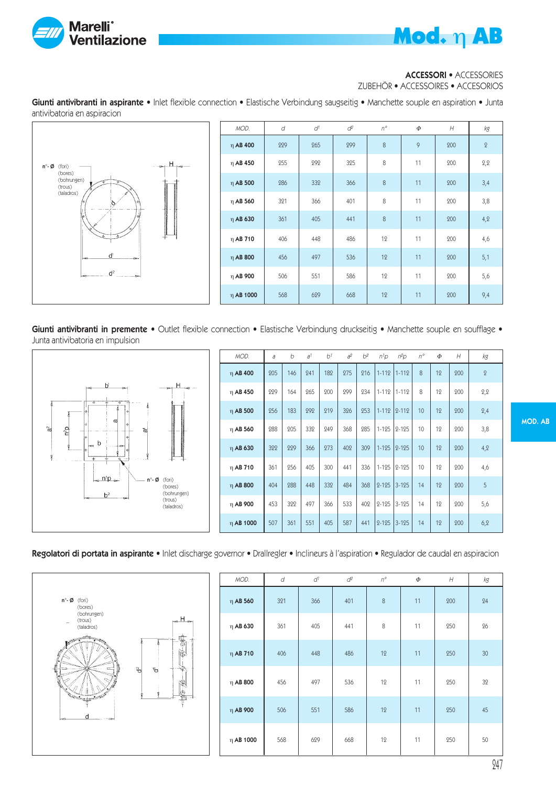



#### ACCESSORI • ACCESSORIES

ZUBEHÖR • ACCESSOIRES • ACCESORIOS

Giunti antivibranti in aspirante • Inlet flexible connection • Elastische Verbindung saugseitig • Manchette souple en aspiration • Junta antivibatoria en aspiracion



| MOD.           | d   | d1  | $d^2$ | $n^{\circ}$ | Φ  | H   | kg           |
|----------------|-----|-----|-------|-------------|----|-----|--------------|
| $\eta$ AB 400  | 229 | 265 | 299   | 8           | 9  | 200 | $\mathbf{Q}$ |
| $\eta$ AB 450  | 255 | 292 | 325   | 8           | 11 | 200 | 2,2          |
| $\eta$ AB 500  | 286 | 332 | 366   | 8           | 11 | 200 | 3,4          |
| $\eta$ AB 560  | 321 | 366 | 401   | 8           | 11 | 200 | 3,8          |
| η AB 630       | 361 | 405 | 441   | 8           | 11 | 200 | 4,2          |
| $\eta$ AB 710  | 406 | 448 | 486   | 12          | 11 | 200 | 4,6          |
| $\eta$ AB 800  | 456 | 497 | 536   | 12          | 11 | 200 | 5,1          |
| η AB 900       | 506 | 551 | 586   | 12          | 11 | 200 | 5,6          |
| $\eta$ AB 1000 | 568 | 629 | 668   | 12          | 11 | 200 | 9,4          |

Giunti antivibranti in premente · Outlet flexible connection · Elastische Verbindung druckseitig · Manchette souple en soufflage · Junta antivibatoria en impulsion



| MOD.          | a   | b   | a <sup>1</sup> | b <sup>1</sup> | $a^2$ | b <sup>2</sup> | $n^1$ p   | $n^2p$    | $n^{\circ}$ | Φ  | H   | kд           |
|---------------|-----|-----|----------------|----------------|-------|----------------|-----------|-----------|-------------|----|-----|--------------|
| η AB 400      | 205 | 146 | 241            | 182            | 275   | 216            | $1 - 112$ | $1 - 112$ | 8           | 12 | 200 | $\mathbf{Q}$ |
| η AB 450      | 229 | 164 | 265            | 200            | 299   | 234            | $1 - 112$ | $1 - 112$ | 8           | 12 | 200 | 2,2          |
| $\eta$ AB 500 | 256 | 183 | 292            | 219            | 326   | 253            | $1 - 112$ | $2 - 112$ | 10          | 12 | 200 | 2,4          |
| $\eta$ AB 560 | 288 | 205 | 332            | 249            | 368   | 285            | $1 - 125$ | $2 - 125$ | 10          | 12 | 200 | 3,8          |
| η AB 630      | 322 | 229 | 366            | 273            | 402   | 309            | $1 - 125$ | $2 - 125$ | 10          | 12 | 200 | 4,2          |
| η AB 710      | 361 | 256 | 405            | 300            | 441   | 336            | $1 - 125$ | $2 - 125$ | 10          | 12 | 200 | 4,6          |
| $\eta$ AB 800 | 404 | 288 | 448            | 332            | 484   | 368            | $2 - 125$ | $3 - 125$ | 14          | 12 | 200 | 5            |
| $\eta$ AB 900 | 453 | 322 | 497            | 366            | 533   | 402            | $2 - 125$ | $3-125$   | 14          | 12 | 200 | 5,6          |
| η AB 1000     | 507 | 361 | 551            | 405            | 587   | 441            | $2 - 125$ | $3 - 125$ | 14          | 12 | 200 | 6,2          |

Regolatori di portata in aspirante · Inlet discharge governor · Drallregler · Inclineurs à l'aspiration · Regulador de caudal en aspiracion



| MOD.           | d   | $d^1$ | ď   | $n^{\circ}$ | $\Phi$ | H   | kg |
|----------------|-----|-------|-----|-------------|--------|-----|----|
| $\eta$ AB 560  | 321 | 366   | 401 | 8           | 11     | 200 | 24 |
| $\eta$ AB 630  | 361 | 405   | 441 | 8           | 11     | 250 | 26 |
| $η$ AB 710     | 406 | 448   | 486 | 12          | 11     | 250 | 30 |
| $\eta$ AB 800  | 456 | 497   | 536 | 12          | 11     | 250 | 32 |
| $\eta$ AB 900  | 506 | 551   | 586 | 12          | 11     | 250 | 45 |
| $\eta$ AB 1000 | 568 | 629   | 668 | 12          | 11     | 250 | 50 |